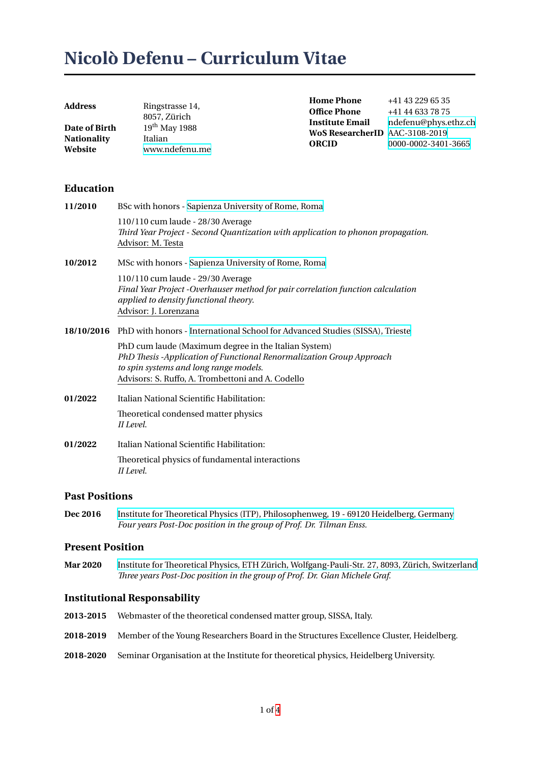# **Nicolò Defenu – Curriculum Vitae**

| Address                             | Ringstrasse 14,            | <b>Home Phone</b>                                                        | +41 43 229 65 35                            |
|-------------------------------------|----------------------------|--------------------------------------------------------------------------|---------------------------------------------|
|                                     | 8057. Zürich               | <b>Office Phone</b>                                                      | +41 44 633 78 75                            |
| <b>Date of Birth</b><br>Nationality | $19th$ May 1988<br>Italian | <b>Institute Email</b><br>WoS ResearcherID AAC-3108-2019<br><b>ORCID</b> | ndefenu@phys.ethz.ch<br>0000-0002-3401-3665 |
| Website                             | www.ndefenu.me             |                                                                          |                                             |

## **Education**

| 11/2010    | BSc with honors - Sapienza University of Rome, Roma                                                                                                                                                                         |  |
|------------|-----------------------------------------------------------------------------------------------------------------------------------------------------------------------------------------------------------------------------|--|
|            | 110/110 cum laude - 28/30 Average<br>Third Year Project - Second Quantization with application to phonon propagation.<br>Advisor: M. Testa                                                                                  |  |
| 10/2012    | MSc with honors - Sapienza University of Rome, Roma                                                                                                                                                                         |  |
|            | 110/110 cum laude - 29/30 Average<br>Final Year Project -Overhauser method for pair correlation function calculation<br>applied to density functional theory.<br>Advisor: J. Lorenzana                                      |  |
| 18/10/2016 | PhD with honors - International School for Advanced Studies (SISSA), Trieste                                                                                                                                                |  |
|            | PhD cum laude (Maximum degree in the Italian System)<br>PhD Thesis -Application of Functional Renormalization Group Approach<br>to spin systems and long range models.<br>Advisors: S. Ruffo, A. Trombettoni and A. Codello |  |
| 01/2022    | Italian National Scientific Habilitation:                                                                                                                                                                                   |  |
|            | Theoretical condensed matter physics<br>II Level.                                                                                                                                                                           |  |
| 01/2022    | Italian National Scientific Habilitation:                                                                                                                                                                                   |  |
|            | Theoretical physics of fundamental interactions<br>II Level.                                                                                                                                                                |  |

## **Past Positions**

**Dec 2016** Institute for Theoretical Physics (ITP), Philosophenweg, 19 - 69120 Heidelberg, Germany *Four years Post-Doc position in the group of Prof. Dr. Tilman Enss.*

## **Present Position**

**Mar 2020** [Institute for Theoretical Physics, ETH Zürich, Wolfgang-Pauli-Str. 27, 8093, Zürich, Switze](http://www.thphys.uni-heidelberg.de/)rland *Three years Post-Doc position in the group of Prof. Dr. Gian Michele Graf.*

## **Institutional Responsability**

- **2013-2015** [Webmaster of the theoretical condensed matter group, SISSA, Italy.](https://www.phys.ethz.ch/the-department/people/person-detail.MjY5MzM1.TGlzdC81MTUsMTE3MjU5OTI5OQ==.html)
- **2018-2019** Member of the Young Researchers Board in the Structures Excellence Cluster, Heidelberg.
- **2018-2020** Seminar Organisation at the Institute for theoretical physics, Heidelberg University.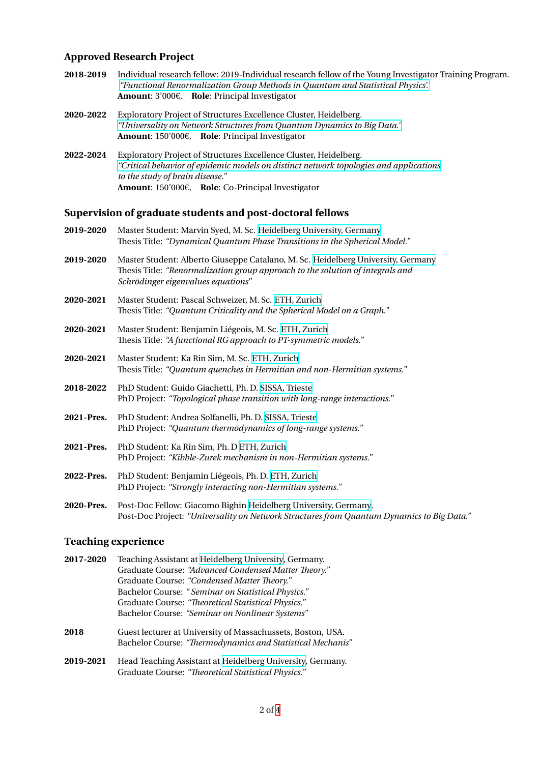# **Approved Research Project**

| 2018-2019        | Individual research fellow: 2019-Individual research fellow of the Young Investigator Training Program.<br>"Functional Renormalization Group Methods in Quantum and Statistical Physics'."<br>Amount: $3'000 \epsilon$ , Role: Principal Investigator |
|------------------|-------------------------------------------------------------------------------------------------------------------------------------------------------------------------------------------------------------------------------------------------------|
| <b>2020-2022</b> | Exploratory Project of Structures Excellence Cluster, Heidelberg.<br>"Universality on Network Structures from Quantum Dynamics to Big Data."<br><b>Amount:</b> 150'000 $\varepsilon$ , <b>Role:</b> Principal Investigator                            |
| 2022-2024        | Exploratory Project of Structures Excellence Cluster, Heidelberg.<br>"Critical behavior of epidemic models on distinct network topologies and applications<br>to the study of brain disease."                                                         |

# **Supervisio[n of graduate students and post-doctoral fellows](https://structures.uni-heidelberg.de/eps.html)**

**Amount**: 150'000€, **Role**: Co-Principal Investigator

| 2019-2020  | Master Student: Marvin Syed, M. Sc. Heidelberg University, Germany<br>Thesis Title: "Dynamical Quantum Phase Transitions in the Spherical Model."                                                        |
|------------|----------------------------------------------------------------------------------------------------------------------------------------------------------------------------------------------------------|
| 2019-2020  | Master Student: Alberto Giuseppe Catalano, M. Sc. Heidelberg University, Germany<br>Thesis Title: "Renormalization group approach to the solution of integrals and<br>Schrödinger eigenvalues equations" |
| 2020-2021  | Master Student: Pascal Schweizer, M. Sc. ETH, Zurich<br>Thesis Title: "Quantum Criticality and the Spherical Model on a Graph."                                                                          |
| 2020-2021  | Master Student: Benjamin Liégeois, M. Sc. ETH, Zurich<br>Thesis Title: "A functional RG approach to PT-symmetric models."                                                                                |
| 2020-2021  | Master Student: Ka Rin Sim, M. Sc. ETH, Zurich<br>Thesis Title: "Quantum quenches in Hermitian and non-Hermitian systems."                                                                               |
| 2018-2022  | PhD Student: Guido Giachetti, Ph. D. SISSA, Trieste<br>PhD Project: "Topological phase transition with long-range interactions."                                                                         |
| 2021-Pres. | PhD Student: Andrea Solfanelli, Ph. D. SISSA, Trieste<br>PhD Project: "Quantum thermodynamics of long-range systems."                                                                                    |
| 2021-Pres. | PhD Student: Ka Rin Sim, Ph. D ETH, Zurich<br>PhD Project: "Kibble-Zurek mechanism in non-Hermitian systems."                                                                                            |
| 2022-Pres. | PhD Student: Benjamin Liégeois, Ph. D. ETH, Zurich<br>PhD Project: "Strongly interacting non-Hermitian systems."                                                                                         |
| 2020-Pres. | Post-Doc Fellow: Giacomo Bighin Heidelberg University, Germany.                                                                                                                                          |

Post-Doc Project: *"Universality on Netw[ork Structure](https://ethz.ch/de.html)s from Quantum Dynamics to Big Data."*

# **Teaching experience**

| 2017-2020 | Teaching Assistant at Heidelberg University, Germany.       |  |
|-----------|-------------------------------------------------------------|--|
|           | Graduate Course: "Advanced Condensed Matter Theory."        |  |
|           | Graduate Course: "Condensed Matter Theory."                 |  |
|           | Bachelor Course: "Seminar on Statistical Physics."          |  |
|           | Graduate Course: "Theoretical Statistical Physics."         |  |
|           | Bachelor Course: "Seminar on Nonlinear Systems"             |  |
| 2018      | Guest lecturer at University of Massachussets, Boston, USA. |  |
|           | Bachelor Course: "Thermodynamics and Statistical Mechanis"  |  |
| 2019-2021 | Head Teaching Assistant at Heidelberg University, Germany.  |  |
|           | Graduate Course: "Theoretical Statistical Physics."         |  |
|           |                                                             |  |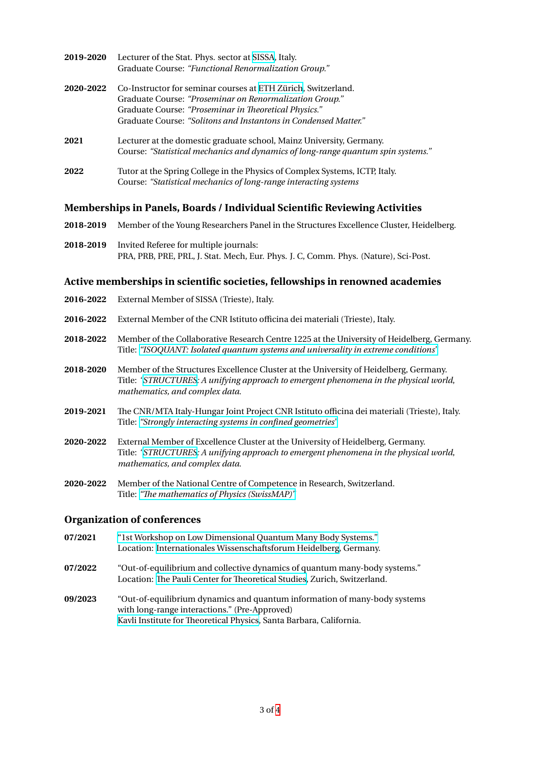| 2019-2020 | Lecturer of the Stat. Phys. sector at SISSA, Italy.                              |
|-----------|----------------------------------------------------------------------------------|
|           | Graduate Course: "Functional Renormalization Group."                             |
| 2020-2022 | Co-Instructor for seminar courses at ETH Zürich, Switzerland.                    |
|           | Graduate Course: "Proseminar on Renormalization Group."                          |
|           | Graduate Course: "Proseminar in Theoretical Physics."                            |
|           | Graduate Course: "Solitons and Instantons in Condensed Matter."                  |
| 2021      | Lecturer at the domestic graduate school, Mainz University, Germany.             |
|           | Course: "Statistical mechanics and dynamics of long-range quantum spin systems." |
| 2022      | Tutor at the Spring College in the Physics of Complex Systems, ICTP, Italy.      |
|           | Course: "Statistical mechanics of long-range interacting systems                 |

#### **Memberships in Panels, Boards / Individual Scientific Reviewing Activities**

- **2018-2019** Member of the Young Researchers Panel in the Structures Excellence Cluster, Heidelberg.
- **2018-2019** Invited Referee for multiple journals: PRA, PRB, PRE, PRL, J. Stat. Mech, Eur. Phys. J. C, Comm. Phys. (Nature), Sci-Post.

#### **Active memberships in scientific societies, fellowships in renowned academies**

- **2016-2022** External Member of SISSA (Trieste), Italy.
- **2016-2022** External Member of the CNR Istituto officina dei materiali (Trieste), Italy.
- **2018-2022** Member of the Collaborative Research Centre 1225 at the University of Heidelberg, Germany. Title: *"ISOQUANT: Isolated quantum systems and universality in extreme conditions"*
- **2018-2020** Member of the Structures Excellence Cluster at the University of Heidelberg, Germany. Title: *"STRUCTURES: A unifying approach to emergent phenomena in the physical world*, *math[ematics, and complex data.](https://www.isoquant-heidelberg.de/)*
- **2019-2021** The CNR/MTA Italy-Hungar Joint Project CNR Istituto officina dei materiali (Trieste), Italy. Title: *"[Strongly intera](https://www.structures.uni-heidelberg.de/)cting systems in confined geometries"*
- **2020-2022** External Member of Excellence Cluster at the University of Heidelberg, Germany. Title: *"STRUCTURES: A unifying approach to emergent phenomena in the physical world*, *math[ematics, and complex data.](https://www.cnr.it/en/bilateral-agreements/project/3378/strongly-interacting-systems-in-confined-geometries)*
- **2020-2022** Member of the National Centre of Competence in Research, Switzerland. Title: *"[The mathemat](https://www.structures.uni-heidelberg.de/)ics of Physics (SwissMAP)"*

#### **Organization of conferences**

**07/2021** "1st [Workshop on Low Dimensional Quantum](https://www.nccr-swissmap.ch/) Many Body Systems." Location: Internationales Wissenschaftsforum Heidelberg, Germany. **07/2022** "Out-of-equilibrium and collective dynamics of quantum many-body systems." Location: [The Pauli Center for Theoretical Studies, Zurich, Switzerlan](https://www.ndefenu.me/workshop/)d. **09/2023** "Out-of-e[quilibrium dynamics and quantum information](https://www.uni-heidelberg.de/einrichtungen/iwh/) of many-body systems with long-range interactions." (Pre-Approved) Kavli Insti[tute for Theoretical Physics, Santa Barba](https://paulicenter.ch/)ra, California.